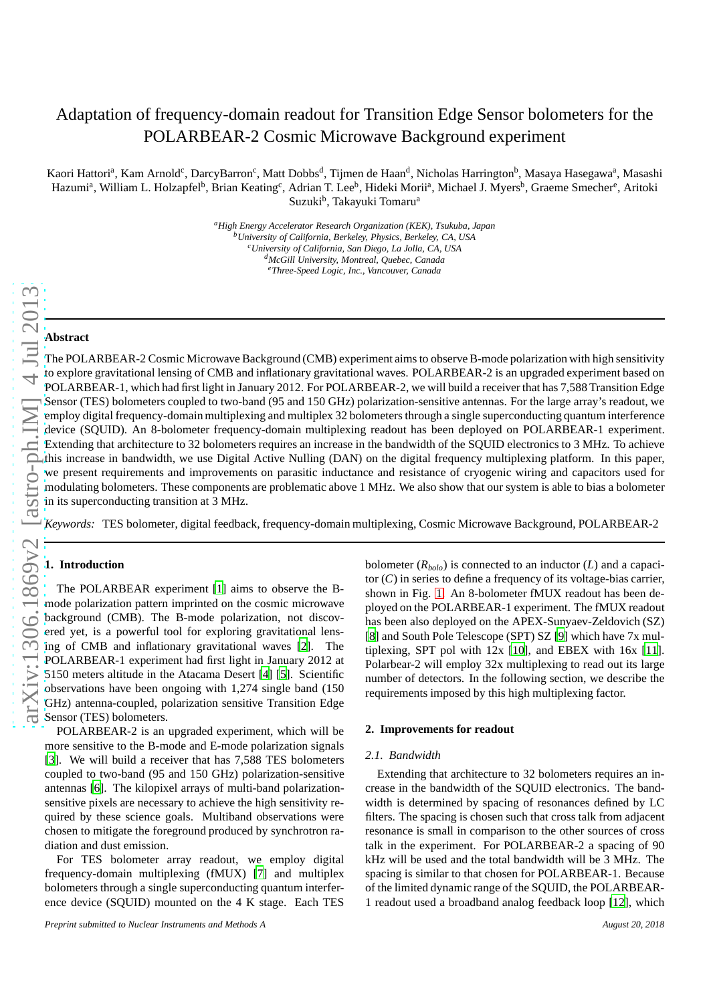# Adaptation of frequency-domain readout for Transition Edge Sensor bolometers for the POLARBEAR-2 Cosmic Microwave Background experiment

Kaori Hattoriª, Kam Arnold<sup>c</sup>, DarcyBarron<sup>c</sup>, Matt Dobbs<sup>d</sup>, Tijmen de Haan<sup>d</sup>, Nicholas Harrington<sup>b</sup>, Masaya Hasegawaª, Masashi Hazumi<sup>a</sup>, William L. Holzapfel<sup>b</sup>, Brian Keating<sup>c</sup>, Adrian T. Lee<sup>b</sup>, Hideki Morii<sup>a</sup>, Michael J. Myers<sup>b</sup>, Graeme Smecher<sup>e</sup>, Aritoki Suzuki<sup>b</sup>, Takayuki Tomaru<sup>a</sup>

> *<sup>a</sup>High Energy Accelerator Research Organization (KEK), Tsukuba, Japan <sup>b</sup>University of California, Berkeley, Physics, Berkeley, CA, USA <sup>c</sup>University of California, San Diego, La Jolla, CA, USA <sup>d</sup>McGill University, Montreal, Quebec, Canada <sup>e</sup>Three-Speed Logic, Inc., Vancouver, Canada*

## **Abstract**

The POLARBEAR-2 Cosmic Microwave Background (CMB) experiment aims to observe B-mode polarization with high sensitivity to explore gravitational lensing of CMB and inflationary gravitational waves. POLARBEAR-2 is an upgraded experiment based on POLARBEAR-1, which had first light in January 2012. For POLARBEAR-2, we will build a receiver that has 7,588 Transition Edge Sensor (TES) bolometers coupled to two-band (95 and 150 GHz) polarization-sensitive antennas. For the large array's readout, we employ digital frequency-domain multiplexing and multiplex 32 bolometers through a single superconducting quantum interference device (SQUID). An 8-bolometer frequency-domain multiplexing readout has been deployed on POLARBEAR-1 experiment. Extending that architecture to 32 bolometers requires an increase in the bandwidth of the SQUID electronics to 3 MHz. To achieve this increase in bandwidth, we use Digital Active Nulling (DAN) on the digital frequency multiplexing platform. In this paper, we present requirements and improvements on parasitic inductance and resistance of cryogenic wiring and capacitors used for modulating bolometers. These components are problematic above 1 MHz. We also show that our system is able to bias a bolometer in its superconducting transition at 3 MHz.

*Keywords:* TES bolometer, digital feedback, frequency-domain multiplexing, Cosmic Microwave Background, POLARBEAR-2

## **1. Introduction**

The POLARBEAR experiment [\[1\]](#page-3-0) aims to observe the Bmode polarization pattern imprinted on the cosmic microwave background (CMB). The B-mode polarization, not discovered yet, is a powerful tool for exploring gravitational lensing of CMB and inflationary gravitational waves [\[2\]](#page-3-1). The POLARBEAR-1 experiment had first light in January 2012 at 5150 meters altitude in the Atacama Desert [\[4\]](#page-3-2) [\[5](#page-3-3)]. Scientific observations have been ongoing with 1,274 single band (150 GHz) antenna-coupled, polarization sensitive Transition Edge Sensor (TES) bolometers.

POLARBEAR-2 is an upgraded experiment, which will be more sensitive to the B-mode and E-mode polarization signals [\[3\]](#page-3-4). We will build a receiver that has 7,588 TES bolometers coupled to two-band (95 and 150 GHz) polarization-sensitive antennas [\[6\]](#page-3-5). The kilopixel arrays of multi-band polarizationsensitive pixels are necessary to achieve the high sensitivity required by these science goals. Multiband observations were chosen to mitigate the foreground produced by synchrotron radiation and dust emission.

For TES bolometer array readout, we employ digital frequency-domain multiplexing (fMUX) [\[7\]](#page-3-6) and multiplex bolometers through a single superconducting quantum interference device (SQUID) mounted on the 4 K stage. Each TES

bolometer (*Rbolo*) is connected to an inductor (*L*) and a capacitor (*C*) in series to define a frequency of its voltage-bias carrier, shown in Fig. [1.](#page-2-0) An 8-bolometer fMUX readout has been deployed on the POLARBEAR-1 experiment. The fMUX readout has been also deployed on the APEX-Sunyaev-Zeldovich (SZ) [\[8\]](#page-3-7) and South Pole Telescope (SPT) SZ [\[9\]](#page-3-8) which have 7x multiplexing, SPT pol with 12x [\[10\]](#page-3-9), and EBEX with 16x [\[11\]](#page-3-10). Polarbear-2 will employ 32x multiplexing to read out its large number of detectors. In the following section, we describe the requirements imposed by this high multiplexing factor.

## **2. Improvements for readout**

#### *2.1. Bandwidth*

Extending that architecture to 32 bolometers requires an increase in the bandwidth of the SQUID electronics. The bandwidth is determined by spacing of resonances defined by LC filters. The spacing is chosen such that cross talk from adjacent resonance is small in comparison to the other sources of cross talk in the experiment. For POLARBEAR-2 a spacing of 90 kHz will be used and the total bandwidth will be 3 MHz. The spacing is similar to that chosen for POLARBEAR-1. Because of the limited dynamic range of the SQUID, the POLARBEAR-1 readout used a broadband analog feedback loop [\[12](#page-3-11)], which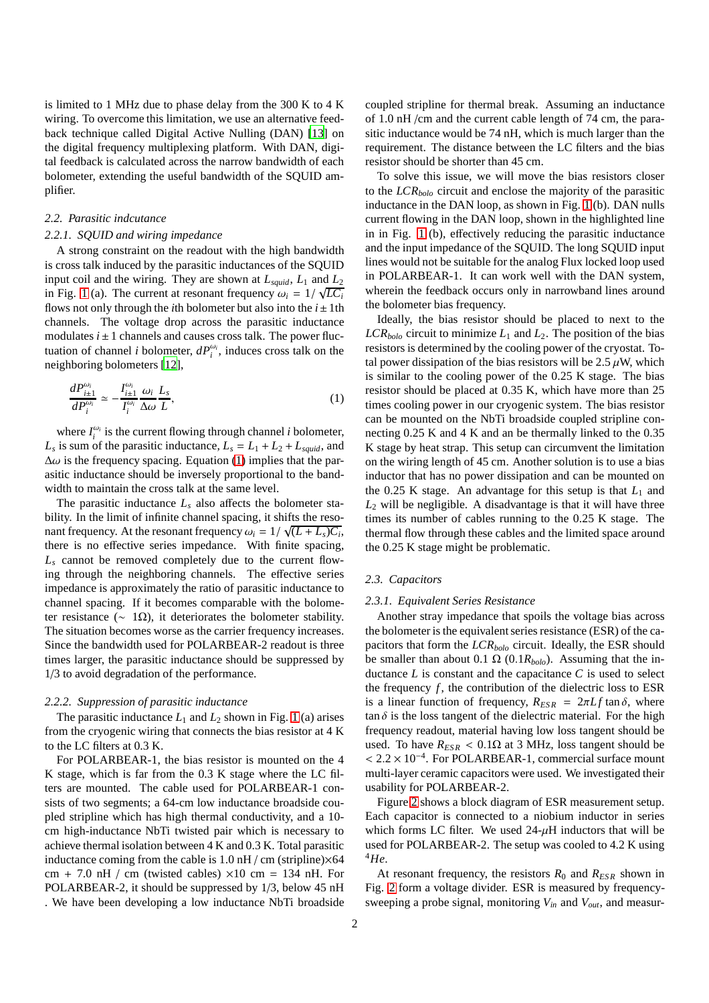is limited to 1 MHz due to phase delay from the 300 K to 4 K wiring. To overcome this limitation, we use an alternative feedback technique called Digital Active Nulling (DAN) [\[13\]](#page-3-12) on the digital frequency multiplexing platform. With DAN, digital feedback is calculated across the narrow bandwidth of each bolometer, extending the useful bandwidth of the SQUID amplifier.

#### *2.2. Parasitic indcutance*

#### *2.2.1. SQUID and wiring impedance*

A strong constraint on the readout with the high bandwidth is cross talk induced by the parasitic inductances of the SQUID input coil and the wiring. They are shown at  $L_{\text{squid}}$ ,  $L_1$  and  $L_2$ in Fig. [1](#page-2-0) (a). The current at resonant frequency  $\omega_i = 1/\sqrt{LC_i}$ flows not only through the *i*th bolometer but also into the  $i \pm 1$ th channels. The voltage drop across the parasitic inductance modulates  $i \pm 1$  channels and causes cross talk. The power fluctuation of channel *i* bolometer,  $dP_i^{\omega_i}$ , induces cross talk on the neighboring bolometers [\[12](#page-3-11)],

<span id="page-1-0"></span>
$$
\frac{dP_{i\pm 1}^{\omega_i}}{dP_i^{\omega_i}} \simeq -\frac{I_{i\pm 1}^{\omega_i}}{I_i^{\omega_i}} \frac{\omega_i}{\Delta \omega} \frac{L_s}{L},\tag{1}
$$

where  $I_i^{\omega_i}$  is the current flowing through channel *i* bolometer,  $L_s$  is sum of the parasitic inductance,  $L_s = L_1 + L_2 + L_{\text{squid}}$ , and  $\Delta\omega$  is the frequency spacing. Equation [\(1\)](#page-1-0) implies that the parasitic inductance should be inversely proportional to the bandwidth to maintain the cross talk at the same level.

The parasitic inductance  $L<sub>s</sub>$  also affects the bolometer stability. In the limit of infinite channel spacing, it shifts the resonant frequency. At the resonant frequency  $\omega_i = 1/\sqrt{(L + L_s)C_i}$ , there is no effective series impedance. With finite spacing,  $L<sub>s</sub>$  cannot be removed completely due to the current flowing through the neighboring channels. The effective series impedance is approximately the ratio of parasitic inductance to channel spacing. If it becomes comparable with the bolometer resistance ( $\sim 1\Omega$ ), it deteriorates the bolometer stability. The situation becomes worse as the carrier frequency increases. Since the bandwidth used for POLARBEAR-2 readout is three times larger, the parasitic inductance should be suppressed by 1/3 to avoid degradation of the performance.

## *2.2.2. Suppression of parasitic inductance*

The parasitic inductance  $L_1$  and  $L_2$  shown in Fig. [1](#page-2-0) (a) arises from the cryogenic wiring that connects the bias resistor at 4 K to the LC filters at 0.3 K.

For POLARBEAR-1, the bias resistor is mounted on the 4 K stage, which is far from the 0.3 K stage where the LC filters are mounted. The cable used for POLARBEAR-1 consists of two segments; a 64-cm low inductance broadside coupled stripline which has high thermal conductivity, and a 10 cm high-inductance NbTi twisted pair which is necessary to achieve thermal isolation between 4 K and 0.3 K. Total parasitic inductance coming from the cable is  $1.0$  nH / cm (stripline) $\times$ 64 cm + 7.0 nH / cm (twisted cables)  $\times$ 10 cm = 134 nH. For POLARBEAR-2, it should be suppressed by 1/3, below 45 nH . We have been developing a low inductance NbTi broadside

coupled stripline for thermal break. Assuming an inductance of 1.0 nH /cm and the current cable length of 74 cm, the parasitic inductance would be 74 nH, which is much larger than the requirement. The distance between the LC filters and the bias resistor should be shorter than 45 cm.

To solve this issue, we will move the bias resistors closer to the *LCRbolo* circuit and enclose the majority of the parasitic inductance in the DAN loop, as shown in Fig. [1](#page-2-0) (b). DAN nulls current flowing in the DAN loop, shown in the highlighted line in in Fig. [1](#page-2-0) (b), effectively reducing the parasitic inductance and the input impedance of the SQUID. The long SQUID input lines would not be suitable for the analog Flux locked loop used in POLARBEAR-1. It can work well with the DAN system, wherein the feedback occurs only in narrowband lines around the bolometer bias frequency.

Ideally, the bias resistor should be placed to next to the  $LCR_{\text{holo}}$  circuit to minimize  $L_1$  and  $L_2$ . The position of the bias resistors is determined by the cooling power of the cryostat. Total power dissipation of the bias resistors will be 2.5  $\mu$ W, which is similar to the cooling power of the 0.25 K stage. The bias resistor should be placed at 0.35 K, which have more than 25 times cooling power in our cryogenic system. The bias resistor can be mounted on the NbTi broadside coupled stripline connecting 0.25 K and 4 K and an be thermally linked to the 0.35 K stage by heat strap. This setup can circumvent the limitation on the wiring length of 45 cm. Another solution is to use a bias inductor that has no power dissipation and can be mounted on the 0.25 K stage. An advantage for this setup is that  $L_1$  and *L*<sup>2</sup> will be negligible. A disadvantage is that it will have three times its number of cables running to the 0.25 K stage. The thermal flow through these cables and the limited space around the 0.25 K stage might be problematic.

## *2.3. Capacitors*

#### *2.3.1. Equivalent Series Resistance*

Another stray impedance that spoils the voltage bias across the bolometer is the equivalent series resistance (ESR) of the capacitors that form the *LCRbolo* circuit. Ideally, the ESR should be smaller than about 0.1  $\Omega$  (0.1*R*<sub>*bolo</sub>*). Assuming that the in-</sub> ductance  $L$  is constant and the capacitance  $C$  is used to select the frequency  $f$ , the contribution of the dielectric loss to ESR is a linear function of frequency,  $R_{ESR} = 2\pi L f \tan \delta$ , where  $\tan \delta$  is the loss tangent of the dielectric material. For the high frequency readout, material having low loss tangent should be used. To have  $R_{ESR}$  < 0.1 $\Omega$  at 3 MHz, loss tangent should be <sup>&</sup>lt; <sup>2</sup>.<sup>2</sup> <sup>×</sup> <sup>10</sup>−<sup>4</sup> . For POLARBEAR-1, commercial surface mount multi-layer ceramic capacitors were used. We investigated their usability for POLARBEAR-2.

Figure [2](#page-3-13) shows a block diagram of ESR measurement setup. Each capacitor is connected to a niobium inductor in series which forms LC filter. We used  $24-\mu$ H inductors that will be used for POLARBEAR-2. The setup was cooled to 4.2 K using <sup>4</sup>*He*.

At resonant frequency, the resistors *R*<sup>0</sup> and *RES R* shown in Fig. [2](#page-3-13) form a voltage divider. ESR is measured by frequencysweeping a probe signal, monitoring *Vin* and *Vout*, and measur-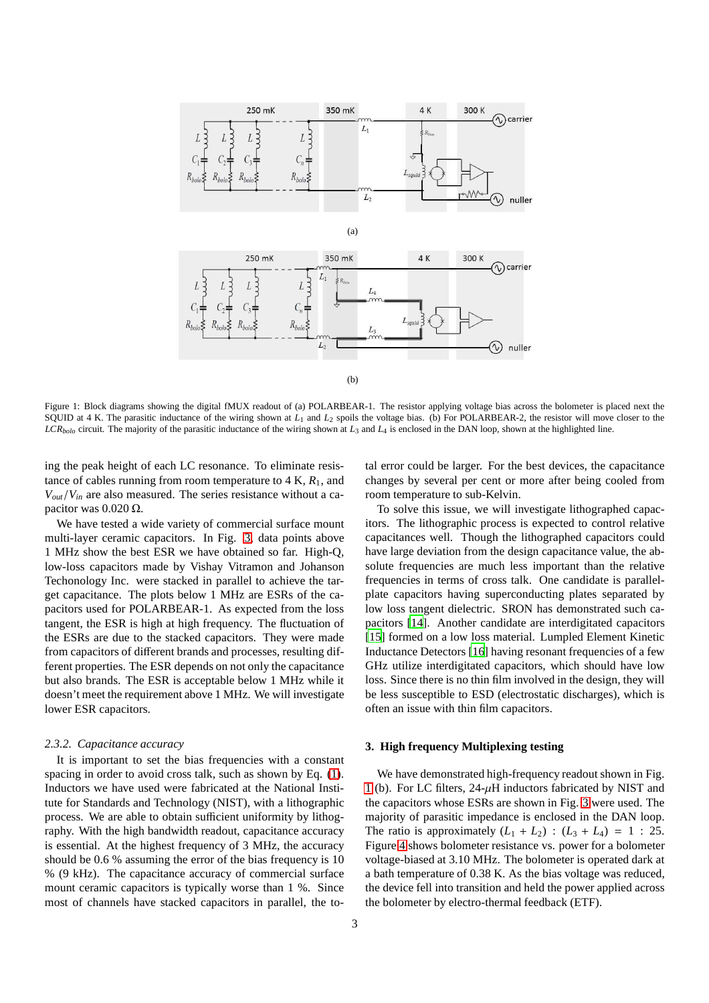

<span id="page-2-0"></span>Figure 1: Block diagrams showing the digital fMUX readout of (a) POLARBEAR-1. The resistor applying voltage bias across the bolometer is placed next the SQUID at 4 K. The parasitic inductance of the wiring shown at  $L_1$  and  $L_2$  spoils the voltage bias. (b) For POLARBEAR-2, the resistor will move closer to the *LCRbolo* circuit. The majority of the parasitic inductance of the wiring shown at *L*<sup>3</sup> and *L*<sup>4</sup> is enclosed in the DAN loop, shown at the highlighted line.

ing the peak height of each LC resonance. To eliminate resistance of cables running from room temperature to  $4 K$ ,  $R_1$ , and  $V_{out}/V_{in}$  are also measured. The series resistance without a capacitor was  $0.020$  Ω.

We have tested a wide variety of commercial surface mount multi-layer ceramic capacitors. In Fig. [3,](#page-3-14) data points above 1 MHz show the best ESR we have obtained so far. High-Q, low-loss capacitors made by Vishay Vitramon and Johanson Techonology Inc. were stacked in parallel to achieve the target capacitance. The plots below 1 MHz are ESRs of the capacitors used for POLARBEAR-1. As expected from the loss tangent, the ESR is high at high frequency. The fluctuation of the ESRs are due to the stacked capacitors. They were made from capacitors of different brands and processes, resulting different properties. The ESR depends on not only the capacitance but also brands. The ESR is acceptable below 1 MHz while it doesn't meet the requirement above 1 MHz. We will investigate lower ESR capacitors.

#### *2.3.2. Capacitance accuracy*

It is important to set the bias frequencies with a constant spacing in order to avoid cross talk, such as shown by Eq. [\(1\)](#page-1-0). Inductors we have used were fabricated at the National Institute for Standards and Technology (NIST), with a lithographic process. We are able to obtain sufficient uniformity by lithography. With the high bandwidth readout, capacitance accuracy is essential. At the highest frequency of 3 MHz, the accuracy should be 0.6 % assuming the error of the bias frequency is 10 % (9 kHz). The capacitance accuracy of commercial surface mount ceramic capacitors is typically worse than 1 %. Since most of channels have stacked capacitors in parallel, the to-

tal error could be larger. For the best devices, the capacitance changes by several per cent or more after being cooled from room temperature to sub-Kelvin.

To solve this issue, we will investigate lithographed capacitors. The lithographic process is expected to control relative capacitances well. Though the lithographed capacitors could have large deviation from the design capacitance value, the absolute frequencies are much less important than the relative frequencies in terms of cross talk. One candidate is parallelplate capacitors having superconducting plates separated by low loss tangent dielectric. SRON has demonstrated such capacitors [\[14\]](#page-3-15). Another candidate are interdigitated capacitors [\[15\]](#page-3-16) formed on a low loss material. Lumpled Element Kinetic Inductance Detectors [\[16\]](#page-3-17) having resonant frequencies of a few GHz utilize interdigitated capacitors, which should have low loss. Since there is no thin film involved in the design, they will be less susceptible to ESD (electrostatic discharges), which is often an issue with thin film capacitors.

## **3. High frequency Multiplexing testing**

We have demonstrated high-frequency readout shown in Fig. [1](#page-2-0) (b). For LC filters,  $24-\mu$ H inductors fabricated by NIST and the capacitors whose ESRs are shown in Fig. [3](#page-3-14) were used. The majority of parasitic impedance is enclosed in the DAN loop. The ratio is approximately  $(L_1 + L_2)$  :  $(L_3 + L_4) = 1$  : 25. Figure [4](#page-3-18) shows bolometer resistance vs. power for a bolometer voltage-biased at 3.10 MHz. The bolometer is operated dark at a bath temperature of 0.38 K. As the bias voltage was reduced, the device fell into transition and held the power applied across the bolometer by electro-thermal feedback (ETF).